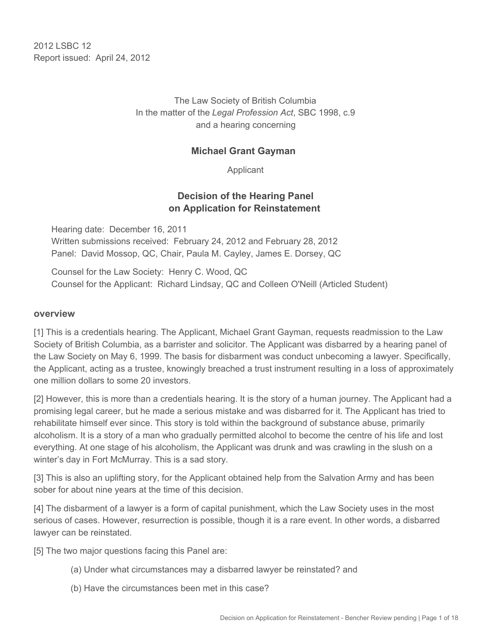2012 LSBC 12 Report issued: April 24, 2012

> The Law Society of British Columbia In the matter of the *Legal Profession Act*, SBC 1998, c.9 and a hearing concerning

#### **Michael Grant Gayman**

Applicant

#### **Decision of the Hearing Panel on Application for Reinstatement**

Hearing date: December 16, 2011 Written submissions received: February 24, 2012 and February 28, 2012 Panel: David Mossop, QC, Chair, Paula M. Cayley, James E. Dorsey, QC

Counsel for the Law Society: Henry C. Wood, QC Counsel for the Applicant: Richard Lindsay, QC and Colleen O'Neill (Articled Student)

#### **overview**

[1] This is a credentials hearing. The Applicant, Michael Grant Gayman, requests readmission to the Law Society of British Columbia, as a barrister and solicitor. The Applicant was disbarred by a hearing panel of the Law Society on May 6, 1999. The basis for disbarment was conduct unbecoming a lawyer. Specifically, the Applicant, acting as a trustee, knowingly breached a trust instrument resulting in a loss of approximately one million dollars to some 20 investors.

[2] However, this is more than a credentials hearing. It is the story of a human journey. The Applicant had a promising legal career, but he made a serious mistake and was disbarred for it. The Applicant has tried to rehabilitate himself ever since. This story is told within the background of substance abuse, primarily alcoholism. It is a story of a man who gradually permitted alcohol to become the centre of his life and lost everything. At one stage of his alcoholism, the Applicant was drunk and was crawling in the slush on a winter's day in Fort McMurray. This is a sad story.

[3] This is also an uplifting story, for the Applicant obtained help from the Salvation Army and has been sober for about nine years at the time of this decision.

[4] The disbarment of a lawyer is a form of capital punishment, which the Law Society uses in the most serious of cases. However, resurrection is possible, though it is a rare event. In other words, a disbarred lawyer can be reinstated.

[5] The two major questions facing this Panel are:

- (a) Under what circumstances may a disbarred lawyer be reinstated? and
- (b) Have the circumstances been met in this case?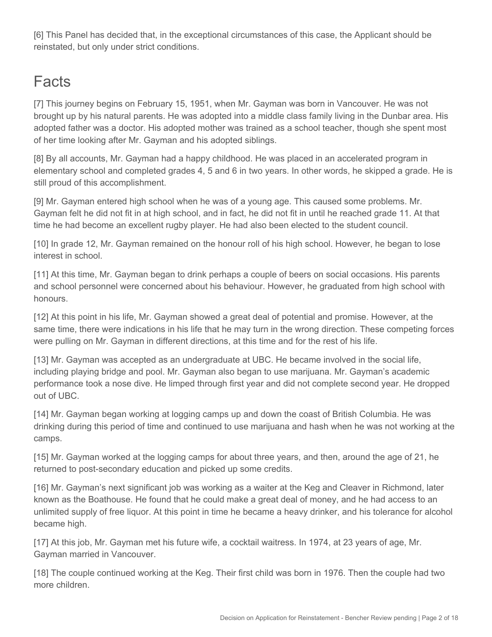[6] This Panel has decided that, in the exceptional circumstances of this case, the Applicant should be reinstated, but only under strict conditions.

# **Facts**

[7] This journey begins on February 15, 1951, when Mr. Gayman was born in Vancouver. He was not brought up by his natural parents. He was adopted into a middle class family living in the Dunbar area. His adopted father was a doctor. His adopted mother was trained as a school teacher, though she spent most of her time looking after Mr. Gayman and his adopted siblings.

[8] By all accounts, Mr. Gayman had a happy childhood. He was placed in an accelerated program in elementary school and completed grades 4, 5 and 6 in two years. In other words, he skipped a grade. He is still proud of this accomplishment.

[9] Mr. Gayman entered high school when he was of a young age. This caused some problems. Mr. Gayman felt he did not fit in at high school, and in fact, he did not fit in until he reached grade 11. At that time he had become an excellent rugby player. He had also been elected to the student council.

[10] In grade 12, Mr. Gayman remained on the honour roll of his high school. However, he began to lose interest in school.

[11] At this time, Mr. Gayman began to drink perhaps a couple of beers on social occasions. His parents and school personnel were concerned about his behaviour. However, he graduated from high school with honours.

[12] At this point in his life, Mr. Gayman showed a great deal of potential and promise. However, at the same time, there were indications in his life that he may turn in the wrong direction. These competing forces were pulling on Mr. Gayman in different directions, at this time and for the rest of his life.

[13] Mr. Gayman was accepted as an undergraduate at UBC. He became involved in the social life, including playing bridge and pool. Mr. Gayman also began to use marijuana. Mr. Gayman's academic performance took a nose dive. He limped through first year and did not complete second year. He dropped out of UBC.

[14] Mr. Gayman began working at logging camps up and down the coast of British Columbia. He was drinking during this period of time and continued to use marijuana and hash when he was not working at the camps.

[15] Mr. Gayman worked at the logging camps for about three years, and then, around the age of 21, he returned to post-secondary education and picked up some credits.

[16] Mr. Gayman's next significant job was working as a waiter at the Keg and Cleaver in Richmond, later known as the Boathouse. He found that he could make a great deal of money, and he had access to an unlimited supply of free liquor. At this point in time he became a heavy drinker, and his tolerance for alcohol became high.

[17] At this job, Mr. Gayman met his future wife, a cocktail waitress. In 1974, at 23 years of age, Mr. Gayman married in Vancouver.

[18] The couple continued working at the Keg. Their first child was born in 1976. Then the couple had two more children.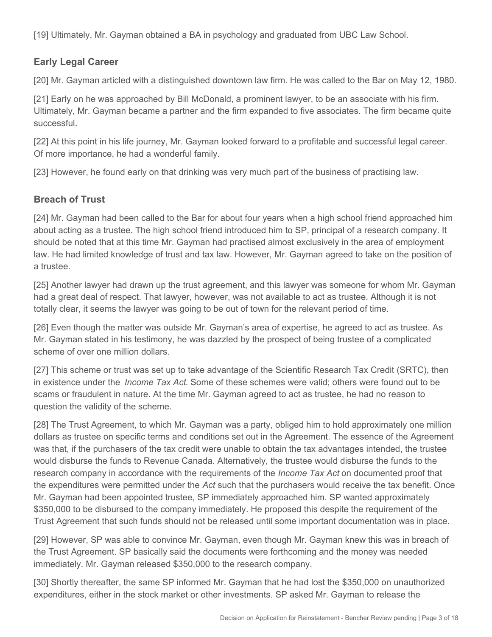[19] Ultimately, Mr. Gayman obtained a BA in psychology and graduated from UBC Law School.

## **Early Legal Career**

[20] Mr. Gayman articled with a distinguished downtown law firm. He was called to the Bar on May 12, 1980.

[21] Early on he was approached by Bill McDonald, a prominent lawyer, to be an associate with his firm. Ultimately, Mr. Gayman became a partner and the firm expanded to five associates. The firm became quite successful.

[22] At this point in his life journey, Mr. Gayman looked forward to a profitable and successful legal career. Of more importance, he had a wonderful family.

[23] However, he found early on that drinking was very much part of the business of practising law.

## **Breach of Trust**

[24] Mr. Gayman had been called to the Bar for about four years when a high school friend approached him about acting as a trustee. The high school friend introduced him to SP, principal of a research company. It should be noted that at this time Mr. Gayman had practised almost exclusively in the area of employment law. He had limited knowledge of trust and tax law. However, Mr. Gayman agreed to take on the position of a trustee.

[25] Another lawyer had drawn up the trust agreement, and this lawyer was someone for whom Mr. Gayman had a great deal of respect. That lawyer, however, was not available to act as trustee. Although it is not totally clear, it seems the lawyer was going to be out of town for the relevant period of time.

[26] Even though the matter was outside Mr. Gayman's area of expertise, he agreed to act as trustee. As Mr. Gayman stated in his testimony, he was dazzled by the prospect of being trustee of a complicated scheme of over one million dollars.

[27] This scheme or trust was set up to take advantage of the Scientific Research Tax Credit (SRTC), then in existence under the *Income Tax Act*. Some of these schemes were valid; others were found out to be scams or fraudulent in nature. At the time Mr. Gayman agreed to act as trustee, he had no reason to question the validity of the scheme.

[28] The Trust Agreement, to which Mr. Gayman was a party, obliged him to hold approximately one million dollars as trustee on specific terms and conditions set out in the Agreement. The essence of the Agreement was that, if the purchasers of the tax credit were unable to obtain the tax advantages intended, the trustee would disburse the funds to Revenue Canada. Alternatively, the trustee would disburse the funds to the research company in accordance with the requirements of the *Income Tax Act* on documented proof that the expenditures were permitted under the *Act* such that the purchasers would receive the tax benefit. Once Mr. Gayman had been appointed trustee, SP immediately approached him. SP wanted approximately \$350,000 to be disbursed to the company immediately. He proposed this despite the requirement of the Trust Agreement that such funds should not be released until some important documentation was in place.

[29] However, SP was able to convince Mr. Gayman, even though Mr. Gayman knew this was in breach of the Trust Agreement. SP basically said the documents were forthcoming and the money was needed immediately. Mr. Gayman released \$350,000 to the research company.

[30] Shortly thereafter, the same SP informed Mr. Gayman that he had lost the \$350,000 on unauthorized expenditures, either in the stock market or other investments. SP asked Mr. Gayman to release the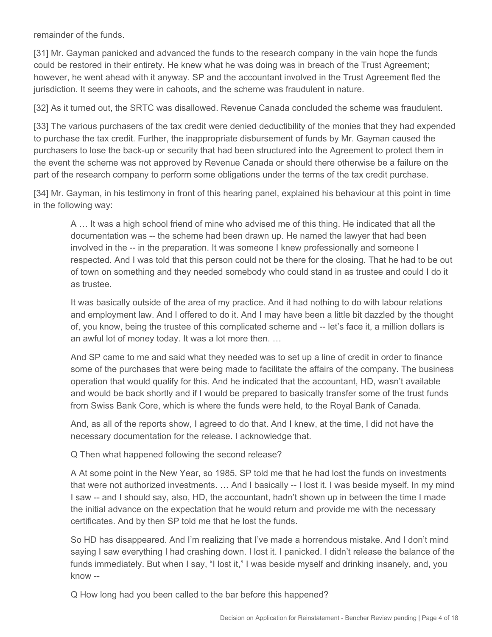remainder of the funds.

[31] Mr. Gayman panicked and advanced the funds to the research company in the vain hope the funds could be restored in their entirety. He knew what he was doing was in breach of the Trust Agreement; however, he went ahead with it anyway. SP and the accountant involved in the Trust Agreement fled the jurisdiction. It seems they were in cahoots, and the scheme was fraudulent in nature.

[32] As it turned out, the SRTC was disallowed. Revenue Canada concluded the scheme was fraudulent.

[33] The various purchasers of the tax credit were denied deductibility of the monies that they had expended to purchase the tax credit. Further, the inappropriate disbursement of funds by Mr. Gayman caused the purchasers to lose the back-up or security that had been structured into the Agreement to protect them in the event the scheme was not approved by Revenue Canada or should there otherwise be a failure on the part of the research company to perform some obligations under the terms of the tax credit purchase.

[34] Mr. Gayman, in his testimony in front of this hearing panel, explained his behaviour at this point in time in the following way:

A … It was a high school friend of mine who advised me of this thing. He indicated that all the documentation was -- the scheme had been drawn up. He named the lawyer that had been involved in the -- in the preparation. It was someone I knew professionally and someone I respected. And I was told that this person could not be there for the closing. That he had to be out of town on something and they needed somebody who could stand in as trustee and could I do it as trustee.

It was basically outside of the area of my practice. And it had nothing to do with labour relations and employment law. And I offered to do it. And I may have been a little bit dazzled by the thought of, you know, being the trustee of this complicated scheme and -- let's face it, a million dollars is an awful lot of money today. It was a lot more then. …

And SP came to me and said what they needed was to set up a line of credit in order to finance some of the purchases that were being made to facilitate the affairs of the company. The business operation that would qualify for this. And he indicated that the accountant, HD, wasn't available and would be back shortly and if I would be prepared to basically transfer some of the trust funds from Swiss Bank Core, which is where the funds were held, to the Royal Bank of Canada.

And, as all of the reports show, I agreed to do that. And I knew, at the time, I did not have the necessary documentation for the release. I acknowledge that.

Q Then what happened following the second release?

A At some point in the New Year, so 1985, SP told me that he had lost the funds on investments that were not authorized investments. … And I basically -- I lost it. I was beside myself. In my mind I saw -- and I should say, also, HD, the accountant, hadn't shown up in between the time I made the initial advance on the expectation that he would return and provide me with the necessary certificates. And by then SP told me that he lost the funds.

So HD has disappeared. And I'm realizing that I've made a horrendous mistake. And I don't mind saying I saw everything I had crashing down. I lost it. I panicked. I didn't release the balance of the funds immediately. But when I say, "I lost it," I was beside myself and drinking insanely, and, you know --

Q How long had you been called to the bar before this happened?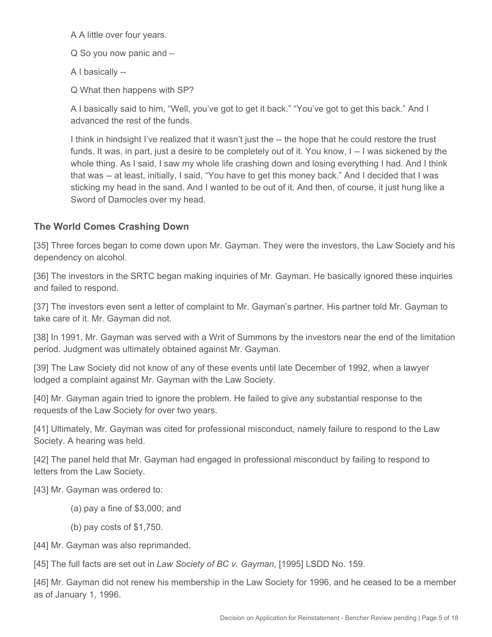A A little over four years.

Q So you now panic and –

A I basically --

Q What then happens with SP?

A I basically said to him, "Well, you've got to get it back." "You've got to get this back." And I advanced the rest of the funds.

I think in hindsight I've realized that it wasn't just the -- the hope that he could restore the trust funds. It was, in part, just a desire to be completely out of it. You know, I--I was sickened by the whole thing. As I said, I saw my whole life crashing down and losing everything I had. And I think that was -- at least, initially, I said, "You have to get this money back." And I decided that I was sticking my head in the sand. And I wanted to be out of it. And then, of course, it just hung like a Sword of Damocles over my head.

# **The World Comes Crashing Down**

[35] Three forces began to come down upon Mr. Gayman. They were the investors, the Law Society and his dependency on alcohol.

[36] The investors in the SRTC began making inquiries of Mr. Gayman. He basically ignored these inquiries and failed to respond.

[37] The investors even sent a letter of complaint to Mr. Gayman's partner. His partner told Mr. Gayman to take care of it. Mr. Gayman did not.

[38] In 1991, Mr. Gayman was served with a Writ of Summons by the investors near the end of the limitation period. Judgment was ultimately obtained against Mr. Gayman.

[39] The Law Society did not know of any of these events until late December of 1992, when a lawyer lodged a complaint against Mr. Gayman with the Law Society.

[40] Mr. Gayman again tried to ignore the problem. He failed to give any substantial response to the requests of the Law Society for over two years.

[41] Ultimately, Mr. Gayman was cited for professional misconduct, namely failure to respond to the Law Society. A hearing was held.

[42] The panel held that Mr. Gayman had engaged in professional misconduct by failing to respond to letters from the Law Society.

[43] Mr. Gayman was ordered to:

- (a) pay a fine of \$3,000; and
- (b) pay costs of \$1,750.

[44] Mr. Gayman was also reprimanded.

[45] The full facts are set out in *Law Society of BC v. Gayman*, [1995] LSDD No. 159.

[46] Mr. Gayman did not renew his membership in the Law Society for 1996, and he ceased to be a member as of January 1, 1996.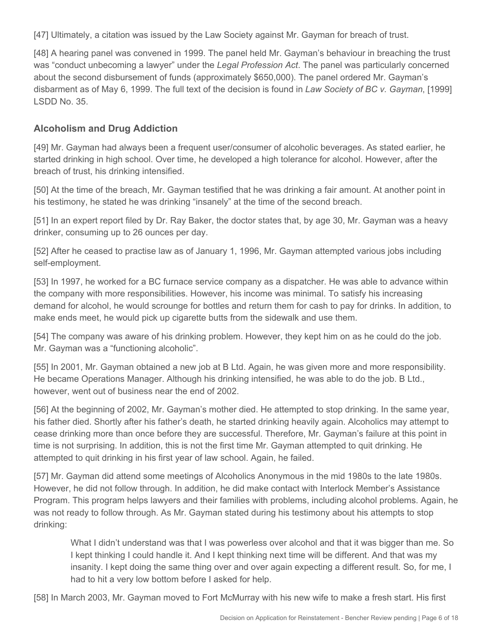[47] Ultimately, a citation was issued by the Law Society against Mr. Gayman for breach of trust.

[48] A hearing panel was convened in 1999. The panel held Mr. Gayman's behaviour in breaching the trust was "conduct unbecoming a lawyer" under the *Legal Profession Act*. The panel was particularly concerned about the second disbursement of funds (approximately \$650,000). The panel ordered Mr. Gayman's disbarment as of May 6, 1999. The full text of the decision is found in *Law Society of BC v. Gayman*, [1999] LSDD No. 35.

## **Alcoholism and Drug Addiction**

[49] Mr. Gayman had always been a frequent user/consumer of alcoholic beverages. As stated earlier, he started drinking in high school. Over time, he developed a high tolerance for alcohol. However, after the breach of trust, his drinking intensified.

[50] At the time of the breach, Mr. Gayman testified that he was drinking a fair amount. At another point in his testimony, he stated he was drinking "insanely" at the time of the second breach.

[51] In an expert report filed by Dr. Ray Baker, the doctor states that, by age 30, Mr. Gayman was a heavy drinker, consuming up to 26 ounces per day.

[52] After he ceased to practise law as of January 1, 1996, Mr. Gayman attempted various jobs including self-employment.

[53] In 1997, he worked for a BC furnace service company as a dispatcher. He was able to advance within the company with more responsibilities. However, his income was minimal. To satisfy his increasing demand for alcohol, he would scrounge for bottles and return them for cash to pay for drinks. In addition, to make ends meet, he would pick up cigarette butts from the sidewalk and use them.

[54] The company was aware of his drinking problem. However, they kept him on as he could do the job. Mr. Gayman was a "functioning alcoholic".

[55] In 2001, Mr. Gayman obtained a new job at B Ltd. Again, he was given more and more responsibility. He became Operations Manager. Although his drinking intensified, he was able to do the job. B Ltd., however, went out of business near the end of 2002.

[56] At the beginning of 2002, Mr. Gayman's mother died. He attempted to stop drinking. In the same year, his father died. Shortly after his father's death, he started drinking heavily again. Alcoholics may attempt to cease drinking more than once before they are successful. Therefore, Mr. Gayman's failure at this point in time is not surprising. In addition, this is not the first time Mr. Gayman attempted to quit drinking. He attempted to quit drinking in his first year of law school. Again, he failed.

[57] Mr. Gayman did attend some meetings of Alcoholics Anonymous in the mid 1980s to the late 1980s. However, he did not follow through. In addition, he did make contact with Interlock Member's Assistance Program. This program helps lawyers and their families with problems, including alcohol problems. Again, he was not ready to follow through. As Mr. Gayman stated during his testimony about his attempts to stop drinking:

What I didn't understand was that I was powerless over alcohol and that it was bigger than me. So I kept thinking I could handle it. And I kept thinking next time will be different. And that was my insanity. I kept doing the same thing over and over again expecting a different result. So, for me, I had to hit a very low bottom before I asked for help.

[58] In March 2003, Mr. Gayman moved to Fort McMurray with his new wife to make a fresh start. His first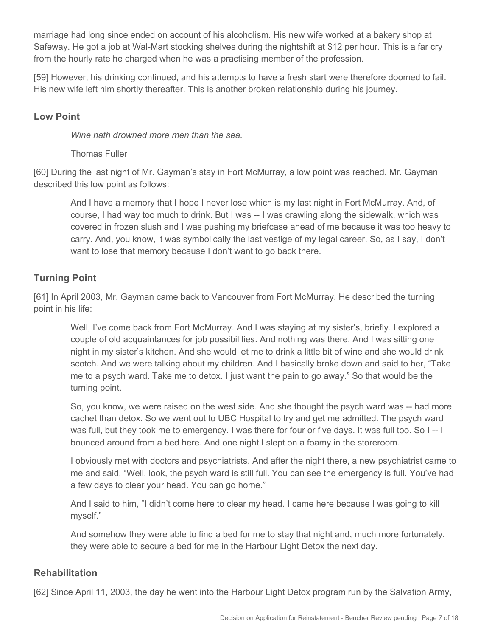marriage had long since ended on account of his alcoholism. His new wife worked at a bakery shop at Safeway. He got a job at Wal-Mart stocking shelves during the nightshift at \$12 per hour. This is a far cry from the hourly rate he charged when he was a practising member of the profession.

[59] However, his drinking continued, and his attempts to have a fresh start were therefore doomed to fail. His new wife left him shortly thereafter. This is another broken relationship during his journey.

#### **Low Point**

*Wine hath drowned more men than the sea.*

Thomas Fuller

[60] During the last night of Mr. Gayman's stay in Fort McMurray, a low point was reached. Mr. Gayman described this low point as follows:

And I have a memory that I hope I never lose which is my last night in Fort McMurray. And, of course, I had way too much to drink. But I was -- I was crawling along the sidewalk, which was covered in frozen slush and I was pushing my briefcase ahead of me because it was too heavy to carry. And, you know, it was symbolically the last vestige of my legal career. So, as I say, I don't want to lose that memory because I don't want to go back there.

# **Turning Point**

[61] In April 2003, Mr. Gayman came back to Vancouver from Fort McMurray. He described the turning point in his life:

Well, I've come back from Fort McMurray. And I was staying at my sister's, briefly. I explored a couple of old acquaintances for job possibilities. And nothing was there. And I was sitting one night in my sister's kitchen. And she would let me to drink a little bit of wine and she would drink scotch. And we were talking about my children. And I basically broke down and said to her, "Take me to a psych ward. Take me to detox. I just want the pain to go away." So that would be the turning point.

So, you know, we were raised on the west side. And she thought the psych ward was -- had more cachet than detox. So we went out to UBC Hospital to try and get me admitted. The psych ward was full, but they took me to emergency. I was there for four or five days. It was full too. So I -- I bounced around from a bed here. And one night I slept on a foamy in the storeroom.

I obviously met with doctors and psychiatrists. And after the night there, a new psychiatrist came to me and said, "Well, look, the psych ward is still full. You can see the emergency is full. You've had a few days to clear your head. You can go home."

And I said to him, "I didn't come here to clear my head. I came here because I was going to kill myself."

And somehow they were able to find a bed for me to stay that night and, much more fortunately, they were able to secure a bed for me in the Harbour Light Detox the next day.

#### **Rehabilitation**

[62] Since April 11, 2003, the day he went into the Harbour Light Detox program run by the Salvation Army,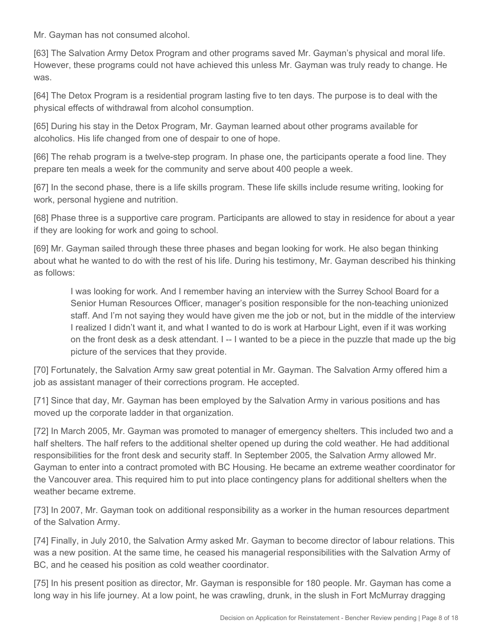Mr. Gayman has not consumed alcohol.

[63] The Salvation Army Detox Program and other programs saved Mr. Gayman's physical and moral life. However, these programs could not have achieved this unless Mr. Gayman was truly ready to change. He was.

[64] The Detox Program is a residential program lasting five to ten days. The purpose is to deal with the physical effects of withdrawal from alcohol consumption.

[65] During his stay in the Detox Program, Mr. Gayman learned about other programs available for alcoholics. His life changed from one of despair to one of hope.

[66] The rehab program is a twelve-step program. In phase one, the participants operate a food line. They prepare ten meals a week for the community and serve about 400 people a week.

[67] In the second phase, there is a life skills program. These life skills include resume writing, looking for work, personal hygiene and nutrition.

[68] Phase three is a supportive care program. Participants are allowed to stay in residence for about a year if they are looking for work and going to school.

[69] Mr. Gayman sailed through these three phases and began looking for work. He also began thinking about what he wanted to do with the rest of his life. During his testimony, Mr. Gayman described his thinking as follows:

I was looking for work. And I remember having an interview with the Surrey School Board for a Senior Human Resources Officer, manager's position responsible for the non-teaching unionized staff. And I'm not saying they would have given me the job or not, but in the middle of the interview I realized I didn't want it, and what I wanted to do is work at Harbour Light, even if it was working on the front desk as a desk attendant. I -- I wanted to be a piece in the puzzle that made up the big picture of the services that they provide.

[70] Fortunately, the Salvation Army saw great potential in Mr. Gayman. The Salvation Army offered him a job as assistant manager of their corrections program. He accepted.

[71] Since that day, Mr. Gayman has been employed by the Salvation Army in various positions and has moved up the corporate ladder in that organization.

[72] In March 2005, Mr. Gayman was promoted to manager of emergency shelters. This included two and a half shelters. The half refers to the additional shelter opened up during the cold weather. He had additional responsibilities for the front desk and security staff. In September 2005, the Salvation Army allowed Mr. Gayman to enter into a contract promoted with BC Housing. He became an extreme weather coordinator for the Vancouver area. This required him to put into place contingency plans for additional shelters when the weather became extreme.

[73] In 2007, Mr. Gayman took on additional responsibility as a worker in the human resources department of the Salvation Army.

[74] Finally, in July 2010, the Salvation Army asked Mr. Gayman to become director of labour relations. This was a new position. At the same time, he ceased his managerial responsibilities with the Salvation Army of BC, and he ceased his position as cold weather coordinator.

[75] In his present position as director, Mr. Gayman is responsible for 180 people. Mr. Gayman has come a long way in his life journey. At a low point, he was crawling, drunk, in the slush in Fort McMurray dragging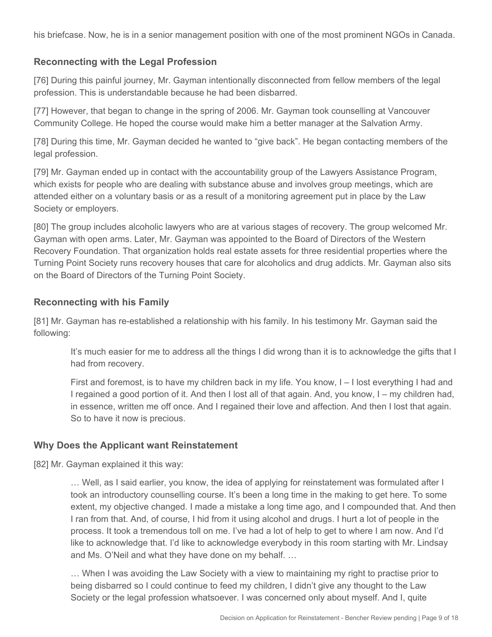his briefcase. Now, he is in a senior management position with one of the most prominent NGOs in Canada.

#### **Reconnecting with the Legal Profession**

[76] During this painful journey, Mr. Gayman intentionally disconnected from fellow members of the legal profession. This is understandable because he had been disbarred.

[77] However, that began to change in the spring of 2006. Mr. Gayman took counselling at Vancouver Community College. He hoped the course would make him a better manager at the Salvation Army.

[78] During this time, Mr. Gayman decided he wanted to "give back". He began contacting members of the legal profession.

[79] Mr. Gayman ended up in contact with the accountability group of the Lawyers Assistance Program, which exists for people who are dealing with substance abuse and involves group meetings, which are attended either on a voluntary basis or as a result of a monitoring agreement put in place by the Law Society or employers.

[80] The group includes alcoholic lawyers who are at various stages of recovery. The group welcomed Mr. Gayman with open arms. Later, Mr. Gayman was appointed to the Board of Directors of the Western Recovery Foundation. That organization holds real estate assets for three residential properties where the Turning Point Society runs recovery houses that care for alcoholics and drug addicts. Mr. Gayman also sits on the Board of Directors of the Turning Point Society.

#### **Reconnecting with his Family**

[81] Mr. Gayman has re-established a relationship with his family. In his testimony Mr. Gayman said the following:

It's much easier for me to address all the things I did wrong than it is to acknowledge the gifts that I had from recovery.

First and foremost, is to have my children back in my life. You know, I – I lost everything I had and I regained a good portion of it. And then I lost all of that again. And, you know, I – my children had, in essence, written me off once. And I regained their love and affection. And then I lost that again. So to have it now is precious.

#### **Why Does the Applicant want Reinstatement**

[82] Mr. Gayman explained it this way:

… Well, as I said earlier, you know, the idea of applying for reinstatement was formulated after I took an introductory counselling course. It's been a long time in the making to get here. To some extent, my objective changed. I made a mistake a long time ago, and I compounded that. And then I ran from that. And, of course, I hid from it using alcohol and drugs. I hurt a lot of people in the process. It took a tremendous toll on me. I've had a lot of help to get to where I am now. And I'd like to acknowledge that. I'd like to acknowledge everybody in this room starting with Mr. Lindsay and Ms. O'Neil and what they have done on my behalf. …

… When I was avoiding the Law Society with a view to maintaining my right to practise prior to being disbarred so I could continue to feed my children, I didn't give any thought to the Law Society or the legal profession whatsoever. I was concerned only about myself. And I, quite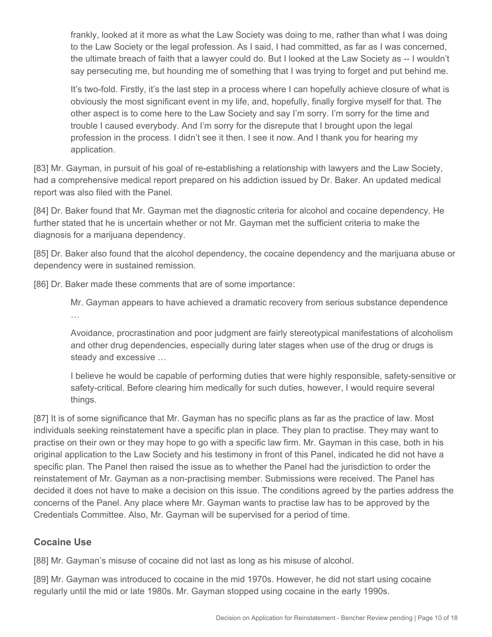frankly, looked at it more as what the Law Society was doing to me, rather than what I was doing to the Law Society or the legal profession. As I said, I had committed, as far as I was concerned, the ultimate breach of faith that a lawyer could do. But I looked at the Law Society as -- I wouldn't say persecuting me, but hounding me of something that I was trying to forget and put behind me.

It's two-fold. Firstly, it's the last step in a process where I can hopefully achieve closure of what is obviously the most significant event in my life, and, hopefully, finally forgive myself for that. The other aspect is to come here to the Law Society and say I'm sorry. I'm sorry for the time and trouble I caused everybody. And I'm sorry for the disrepute that I brought upon the legal profession in the process. I didn't see it then. I see it now. And I thank you for hearing my application.

[83] Mr. Gayman, in pursuit of his goal of re-establishing a relationship with lawyers and the Law Society, had a comprehensive medical report prepared on his addiction issued by Dr. Baker. An updated medical report was also filed with the Panel.

[84] Dr. Baker found that Mr. Gayman met the diagnostic criteria for alcohol and cocaine dependency. He further stated that he is uncertain whether or not Mr. Gayman met the sufficient criteria to make the diagnosis for a marijuana dependency.

[85] Dr. Baker also found that the alcohol dependency, the cocaine dependency and the marijuana abuse or dependency were in sustained remission.

[86] Dr. Baker made these comments that are of some importance:

Mr. Gayman appears to have achieved a dramatic recovery from serious substance dependence …

Avoidance, procrastination and poor judgment are fairly stereotypical manifestations of alcoholism and other drug dependencies, especially during later stages when use of the drug or drugs is steady and excessive …

I believe he would be capable of performing duties that were highly responsible, safety-sensitive or safety-critical. Before clearing him medically for such duties, however, I would require several things.

[87] It is of some significance that Mr. Gayman has no specific plans as far as the practice of law. Most individuals seeking reinstatement have a specific plan in place. They plan to practise. They may want to practise on their own or they may hope to go with a specific law firm. Mr. Gayman in this case, both in his original application to the Law Society and his testimony in front of this Panel, indicated he did not have a specific plan. The Panel then raised the issue as to whether the Panel had the jurisdiction to order the reinstatement of Mr. Gayman as a non-practising member. Submissions were received. The Panel has decided it does not have to make a decision on this issue. The conditions agreed by the parties address the concerns of the Panel. Any place where Mr. Gayman wants to practise law has to be approved by the Credentials Committee. Also, Mr. Gayman will be supervised for a period of time.

## **Cocaine Use**

[88] Mr. Gayman's misuse of cocaine did not last as long as his misuse of alcohol.

[89] Mr. Gayman was introduced to cocaine in the mid 1970s. However, he did not start using cocaine regularly until the mid or late 1980s. Mr. Gayman stopped using cocaine in the early 1990s.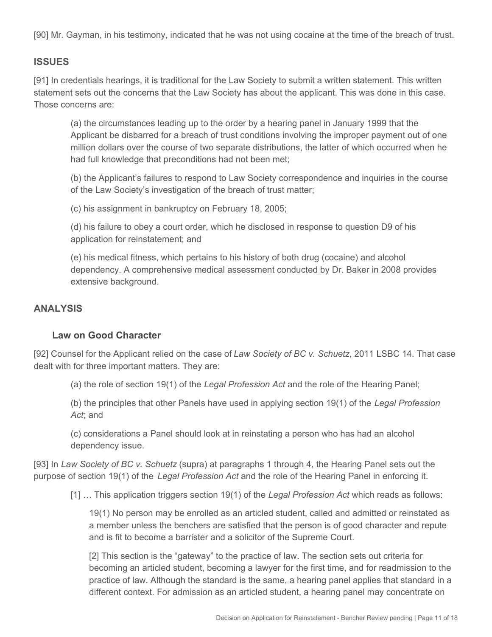[90] Mr. Gayman, in his testimony, indicated that he was not using cocaine at the time of the breach of trust.

#### **ISSUES**

[91] In credentials hearings, it is traditional for the Law Society to submit a written statement. This written statement sets out the concerns that the Law Society has about the applicant. This was done in this case. Those concerns are:

(a) the circumstances leading up to the order by a hearing panel in January 1999 that the Applicant be disbarred for a breach of trust conditions involving the improper payment out of one million dollars over the course of two separate distributions, the latter of which occurred when he had full knowledge that preconditions had not been met;

(b) the Applicant's failures to respond to Law Society correspondence and inquiries in the course of the Law Society's investigation of the breach of trust matter;

(c) his assignment in bankruptcy on February 18, 2005;

(d) his failure to obey a court order, which he disclosed in response to question D9 of his application for reinstatement; and

(e) his medical fitness, which pertains to his history of both drug (cocaine) and alcohol dependency. A comprehensive medical assessment conducted by Dr. Baker in 2008 provides extensive background.

#### **ANALYSIS**

#### **Law on Good Character**

[92] Counsel for the Applicant relied on the case of *Law Society of BC v. Schuetz*, 2011 LSBC 14. That case dealt with for three important matters. They are:

(a) the role of section 19(1) of the *Legal Profession Act* and the role of the Hearing Panel;

(b) the principles that other Panels have used in applying section 19(1) of the *Legal Profession Act*; and

(c) considerations a Panel should look at in reinstating a person who has had an alcohol dependency issue.

[93] In *Law Society of BC v. Schuetz* (supra) at paragraphs 1 through 4, the Hearing Panel sets out the purpose of section 19(1) of the *Legal Profession Act* and the role of the Hearing Panel in enforcing it.

[1] … This application triggers section 19(1) of the *Legal Profession Act* which reads as follows:

19(1) No person may be enrolled as an articled student, called and admitted or reinstated as a member unless the benchers are satisfied that the person is of good character and repute and is fit to become a barrister and a solicitor of the Supreme Court.

[2] This section is the "gateway" to the practice of law. The section sets out criteria for becoming an articled student, becoming a lawyer for the first time, and for readmission to the practice of law. Although the standard is the same, a hearing panel applies that standard in a different context. For admission as an articled student, a hearing panel may concentrate on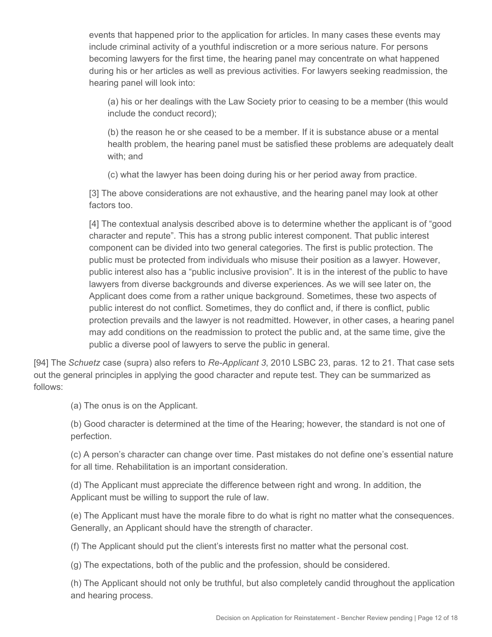events that happened prior to the application for articles. In many cases these events may include criminal activity of a youthful indiscretion or a more serious nature. For persons becoming lawyers for the first time, the hearing panel may concentrate on what happened during his or her articles as well as previous activities. For lawyers seeking readmission, the hearing panel will look into:

(a) his or her dealings with the Law Society prior to ceasing to be a member (this would include the conduct record);

(b) the reason he or she ceased to be a member. If it is substance abuse or a mental health problem, the hearing panel must be satisfied these problems are adequately dealt with; and

(c) what the lawyer has been doing during his or her period away from practice.

[3] The above considerations are not exhaustive, and the hearing panel may look at other factors too.

[4] The contextual analysis described above is to determine whether the applicant is of "good character and repute". This has a strong public interest component. That public interest component can be divided into two general categories. The first is public protection. The public must be protected from individuals who misuse their position as a lawyer. However, public interest also has a "public inclusive provision". It is in the interest of the public to have lawyers from diverse backgrounds and diverse experiences. As we will see later on, the Applicant does come from a rather unique background. Sometimes, these two aspects of public interest do not conflict. Sometimes, they do conflict and, if there is conflict, public protection prevails and the lawyer is not readmitted. However, in other cases, a hearing panel may add conditions on the readmission to protect the public and, at the same time, give the public a diverse pool of lawyers to serve the public in general.

[94] The *Schuetz* case (supra) also refers to *Re-Applicant 3*, 2010 LSBC 23, paras. 12 to 21. That case sets out the general principles in applying the good character and repute test. They can be summarized as follows:

(a) The onus is on the Applicant.

(b) Good character is determined at the time of the Hearing; however, the standard is not one of perfection.

(c) A person's character can change over time. Past mistakes do not define one's essential nature for all time. Rehabilitation is an important consideration.

(d) The Applicant must appreciate the difference between right and wrong. In addition, the Applicant must be willing to support the rule of law.

(e) The Applicant must have the morale fibre to do what is right no matter what the consequences. Generally, an Applicant should have the strength of character.

(f) The Applicant should put the client's interests first no matter what the personal cost.

(g) The expectations, both of the public and the profession, should be considered.

(h) The Applicant should not only be truthful, but also completely candid throughout the application and hearing process.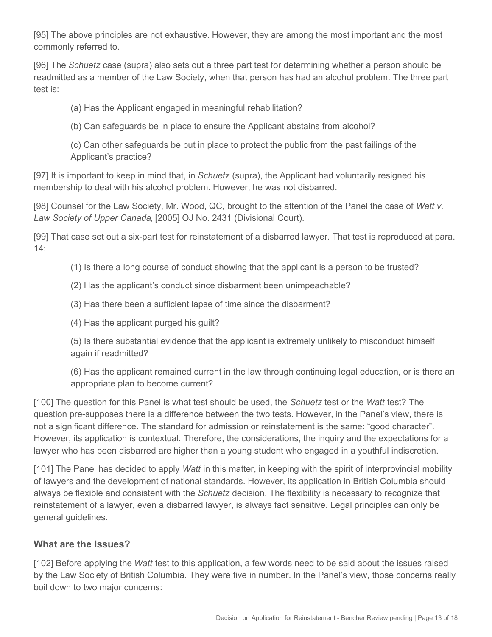[95] The above principles are not exhaustive. However, they are among the most important and the most commonly referred to.

[96] The *Schuetz* case (supra) also sets out a three part test for determining whether a person should be readmitted as a member of the Law Society, when that person has had an alcohol problem. The three part test is:

(a) Has the Applicant engaged in meaningful rehabilitation?

(b) Can safeguards be in place to ensure the Applicant abstains from alcohol?

(c) Can other safeguards be put in place to protect the public from the past failings of the Applicant's practice?

[97] It is important to keep in mind that, in *Schuetz* (supra), the Applicant had voluntarily resigned his membership to deal with his alcohol problem. However, he was not disbarred.

[98] Counsel for the Law Society, Mr. Wood, QC, brought to the attention of the Panel the case of *Watt v. Law Society of Upper Canada*, [2005] OJ No. 2431 (Divisional Court).

[99] That case set out a six-part test for reinstatement of a disbarred lawyer. That test is reproduced at para. 14:

(1) Is there a long course of conduct showing that the applicant is a person to be trusted?

(2) Has the applicant's conduct since disbarment been unimpeachable?

(3) Has there been a sufficient lapse of time since the disbarment?

(4) Has the applicant purged his guilt?

(5) Is there substantial evidence that the applicant is extremely unlikely to misconduct himself again if readmitted?

(6) Has the applicant remained current in the law through continuing legal education, or is there an appropriate plan to become current?

[100] The question for this Panel is what test should be used, the *Schuetz* test or the *Watt* test? The question pre-supposes there is a difference between the two tests. However, in the Panel's view, there is not a significant difference. The standard for admission or reinstatement is the same: "good character". However, its application is contextual. Therefore, the considerations, the inquiry and the expectations for a lawyer who has been disbarred are higher than a young student who engaged in a youthful indiscretion.

[101] The Panel has decided to apply *Watt* in this matter, in keeping with the spirit of interprovincial mobility of lawyers and the development of national standards. However, its application in British Columbia should always be flexible and consistent with the *Schuetz* decision. The flexibility is necessary to recognize that reinstatement of a lawyer, even a disbarred lawyer, is always fact sensitive. Legal principles can only be general guidelines.

## **What are the Issues?**

[102] Before applying the *Watt* test to this application, a few words need to be said about the issues raised by the Law Society of British Columbia. They were five in number. In the Panel's view, those concerns really boil down to two major concerns: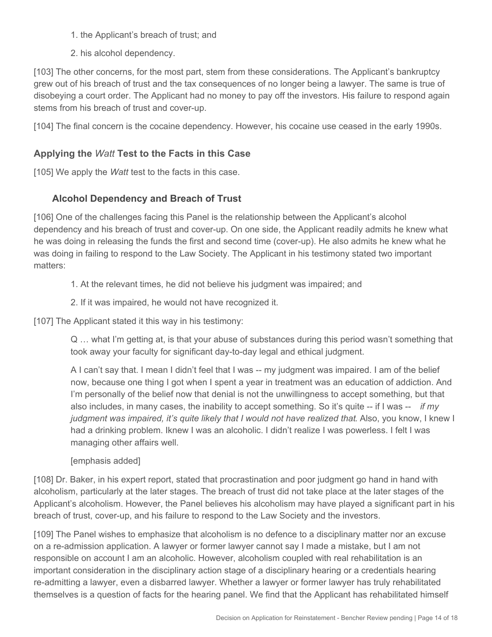- 1. the Applicant's breach of trust; and
- 2. his alcohol dependency.

[103] The other concerns, for the most part, stem from these considerations. The Applicant's bankruptcy grew out of his breach of trust and the tax consequences of no longer being a lawyer. The same is true of disobeying a court order. The Applicant had no money to pay off the investors. His failure to respond again stems from his breach of trust and cover-up.

[104] The final concern is the cocaine dependency. However, his cocaine use ceased in the early 1990s.

# **Applying the** *Watt* **Test to the Facts in this Case**

[105] We apply the *Watt* test to the facts in this case.

# **Alcohol Dependency and Breach of Trust**

[106] One of the challenges facing this Panel is the relationship between the Applicant's alcohol dependency and his breach of trust and cover-up. On one side, the Applicant readily admits he knew what he was doing in releasing the funds the first and second time (cover-up). He also admits he knew what he was doing in failing to respond to the Law Society. The Applicant in his testimony stated two important matters:

1. At the relevant times, he did not believe his judgment was impaired; and

#### 2. If it was impaired, he would not have recognized it.

[107] The Applicant stated it this way in his testimony:

Q … what I'm getting at, is that your abuse of substances during this period wasn't something that took away your faculty for significant day-to-day legal and ethical judgment.

A I can't say that. I mean I didn't feel that I was -- my judgment was impaired. I am of the belief now, because one thing I got when I spent a year in treatment was an education of addiction. And I'm personally of the belief now that denial is not the unwillingness to accept something, but that also includes, in many cases, the inability to accept something. So it's quite -- if I was -- *if my judgment was impaired, it's quite likely that I would not have realized that. Also, you know, I knew I* had a drinking problem. Iknew I was an alcoholic. I didn't realize I was powerless. I felt I was managing other affairs well.

[emphasis added]

[108] Dr. Baker, in his expert report, stated that procrastination and poor judgment go hand in hand with alcoholism, particularly at the later stages. The breach of trust did not take place at the later stages of the Applicant's alcoholism. However, the Panel believes his alcoholism may have played a significant part in his breach of trust, cover-up, and his failure to respond to the Law Society and the investors.

[109] The Panel wishes to emphasize that alcoholism is no defence to a disciplinary matter nor an excuse on a re-admission application. A lawyer or former lawyer cannot say I made a mistake, but I am not responsible on account I am an alcoholic. However, alcoholism coupled with real rehabilitation is an important consideration in the disciplinary action stage of a disciplinary hearing or a credentials hearing re-admitting a lawyer, even a disbarred lawyer. Whether a lawyer or former lawyer has truly rehabilitated themselves is a question of facts for the hearing panel. We find that the Applicant has rehabilitated himself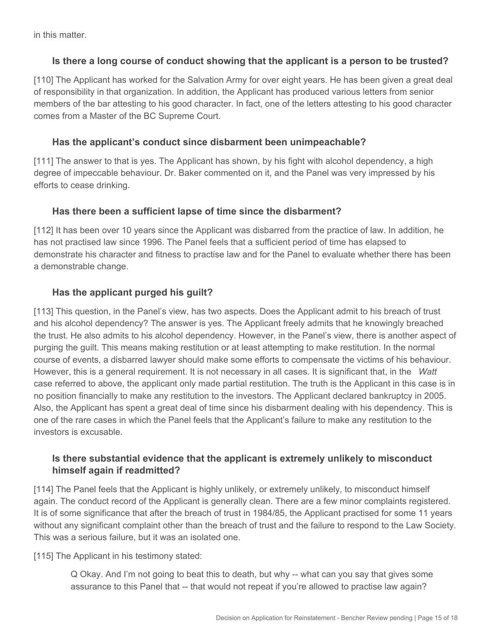in this matter.

## **Is there a long course of conduct showing that the applicant is a person to be trusted?**

[110] The Applicant has worked for the Salvation Army for over eight years. He has been given a great deal of responsibility in that organization. In addition, the Applicant has produced various letters from senior members of the bar attesting to his good character. In fact, one of the letters attesting to his good character comes from a Master of the BC Supreme Court.

#### **Has the applicant's conduct since disbarment been unimpeachable?**

[111] The answer to that is yes. The Applicant has shown, by his fight with alcohol dependency, a high degree of impeccable behaviour. Dr. Baker commented on it, and the Panel was very impressed by his efforts to cease drinking.

#### **Has there been a sufficient lapse of time since the disbarment?**

[112] It has been over 10 years since the Applicant was disbarred from the practice of law. In addition, he has not practised law since 1996. The Panel feels that a sufficient period of time has elapsed to demonstrate his character and fitness to practise law and for the Panel to evaluate whether there has been a demonstrable change.

## **Has the applicant purged his guilt?**

[113] This question, in the Panel's view, has two aspects. Does the Applicant admit to his breach of trust and his alcohol dependency? The answer is yes. The Applicant freely admits that he knowingly breached the trust. He also admits to his alcohol dependency. However, in the Panel's view, there is another aspect of purging the guilt. This means making restitution or at least attempting to make restitution. In the normal course of events, a disbarred lawyer should make some efforts to compensate the victims of his behaviour. However, this is a general requirement. It is not necessary in all cases. It is significant that, in the *Watt*  case referred to above, the applicant only made partial restitution. The truth is the Applicant in this case is in no position financially to make any restitution to the investors. The Applicant declared bankruptcy in 2005. Also, the Applicant has spent a great deal of time since his disbarment dealing with his dependency. This is one of the rare cases in which the Panel feels that the Applicant's failure to make any restitution to the investors is excusable.

## **Is there substantial evidence that the applicant is extremely unlikely to misconduct himself again if readmitted?**

[114] The Panel feels that the Applicant is highly unlikely, or extremely unlikely, to misconduct himself again. The conduct record of the Applicant is generally clean. There are a few minor complaints registered. It is of some significance that after the breach of trust in 1984/85, the Applicant practised for some 11 years without any significant complaint other than the breach of trust and the failure to respond to the Law Society. This was a serious failure, but it was an isolated one.

[115] The Applicant in his testimony stated:

Q Okay. And I'm not going to beat this to death, but why -- what can you say that gives some assurance to this Panel that -- that would not repeat if you're allowed to practise law again?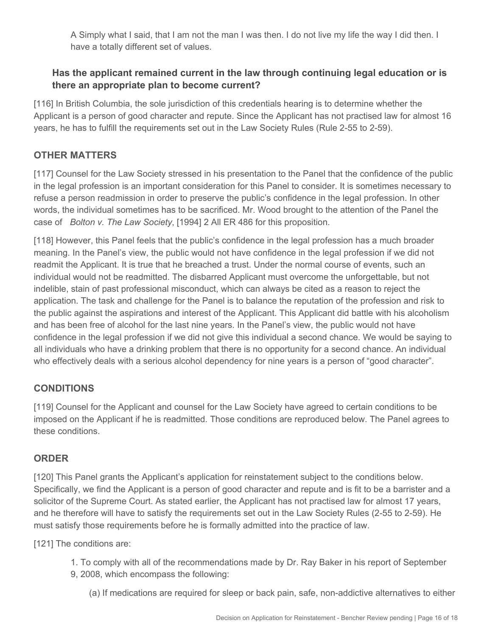A Simply what I said, that I am not the man I was then. I do not live my life the way I did then. I have a totally different set of values.

## **Has the applicant remained current in the law through continuing legal education or is there an appropriate plan to become current?**

[116] In British Columbia, the sole jurisdiction of this credentials hearing is to determine whether the Applicant is a person of good character and repute. Since the Applicant has not practised law for almost 16 years, he has to fulfill the requirements set out in the Law Society Rules (Rule 2-55 to 2-59).

# **OTHER MATTERS**

[117] Counsel for the Law Society stressed in his presentation to the Panel that the confidence of the public in the legal profession is an important consideration for this Panel to consider. It is sometimes necessary to refuse a person readmission in order to preserve the public's confidence in the legal profession. In other words, the individual sometimes has to be sacrificed. Mr. Wood brought to the attention of the Panel the case of *Bolton v. The Law Society*, [1994] 2 All ER 486 for this proposition.

[118] However, this Panel feels that the public's confidence in the legal profession has a much broader meaning. In the Panel's view, the public would not have confidence in the legal profession if we did not readmit the Applicant. It is true that he breached a trust. Under the normal course of events, such an individual would not be readmitted. The disbarred Applicant must overcome the unforgettable, but not indelible, stain of past professional misconduct, which can always be cited as a reason to reject the application. The task and challenge for the Panel is to balance the reputation of the profession and risk to the public against the aspirations and interest of the Applicant. This Applicant did battle with his alcoholism and has been free of alcohol for the last nine years. In the Panel's view, the public would not have confidence in the legal profession if we did not give this individual a second chance. We would be saying to all individuals who have a drinking problem that there is no opportunity for a second chance. An individual who effectively deals with a serious alcohol dependency for nine years is a person of "good character".

# **CONDITIONS**

[119] Counsel for the Applicant and counsel for the Law Society have agreed to certain conditions to be imposed on the Applicant if he is readmitted. Those conditions are reproduced below. The Panel agrees to these conditions.

## **ORDER**

[120] This Panel grants the Applicant's application for reinstatement subject to the conditions below. Specifically, we find the Applicant is a person of good character and repute and is fit to be a barrister and a solicitor of the Supreme Court. As stated earlier, the Applicant has not practised law for almost 17 years, and he therefore will have to satisfy the requirements set out in the Law Society Rules (2-55 to 2-59). He must satisfy those requirements before he is formally admitted into the practice of law.

[121] The conditions are:

- 1. To comply with all of the recommendations made by Dr. Ray Baker in his report of September
- 9, 2008, which encompass the following:
	- (a) If medications are required for sleep or back pain, safe, non-addictive alternatives to either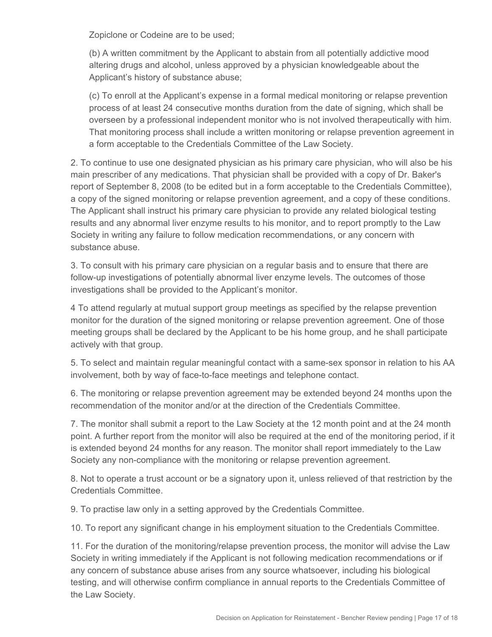Zopiclone or Codeine are to be used;

(b) A written commitment by the Applicant to abstain from all potentially addictive mood altering drugs and alcohol, unless approved by a physician knowledgeable about the Applicant's history of substance abuse;

(c) To enroll at the Applicant's expense in a formal medical monitoring or relapse prevention process of at least 24 consecutive months duration from the date of signing, which shall be overseen by a professional independent monitor who is not involved therapeutically with him. That monitoring process shall include a written monitoring or relapse prevention agreement in a form acceptable to the Credentials Committee of the Law Society.

2. To continue to use one designated physician as his primary care physician, who will also be his main prescriber of any medications. That physician shall be provided with a copy of Dr. Baker's report of September 8, 2008 (to be edited but in a form acceptable to the Credentials Committee), a copy of the signed monitoring or relapse prevention agreement, and a copy of these conditions. The Applicant shall instruct his primary care physician to provide any related biological testing results and any abnormal liver enzyme results to his monitor, and to report promptly to the Law Society in writing any failure to follow medication recommendations, or any concern with substance abuse.

3. To consult with his primary care physician on a regular basis and to ensure that there are follow-up investigations of potentially abnormal liver enzyme levels. The outcomes of those investigations shall be provided to the Applicant's monitor.

4 To attend regularly at mutual support group meetings as specified by the relapse prevention monitor for the duration of the signed monitoring or relapse prevention agreement. One of those meeting groups shall be declared by the Applicant to be his home group, and he shall participate actively with that group.

5. To select and maintain regular meaningful contact with a same-sex sponsor in relation to his AA involvement, both by way of face-to-face meetings and telephone contact.

6. The monitoring or relapse prevention agreement may be extended beyond 24 months upon the recommendation of the monitor and/or at the direction of the Credentials Committee.

7. The monitor shall submit a report to the Law Society at the 12 month point and at the 24 month point. A further report from the monitor will also be required at the end of the monitoring period, if it is extended beyond 24 months for any reason. The monitor shall report immediately to the Law Society any non-compliance with the monitoring or relapse prevention agreement.

8. Not to operate a trust account or be a signatory upon it, unless relieved of that restriction by the Credentials Committee.

9. To practise law only in a setting approved by the Credentials Committee.

10. To report any significant change in his employment situation to the Credentials Committee.

11. For the duration of the monitoring/relapse prevention process, the monitor will advise the Law Society in writing immediately if the Applicant is not following medication recommendations or if any concern of substance abuse arises from any source whatsoever, including his biological testing, and will otherwise confirm compliance in annual reports to the Credentials Committee of the Law Society.